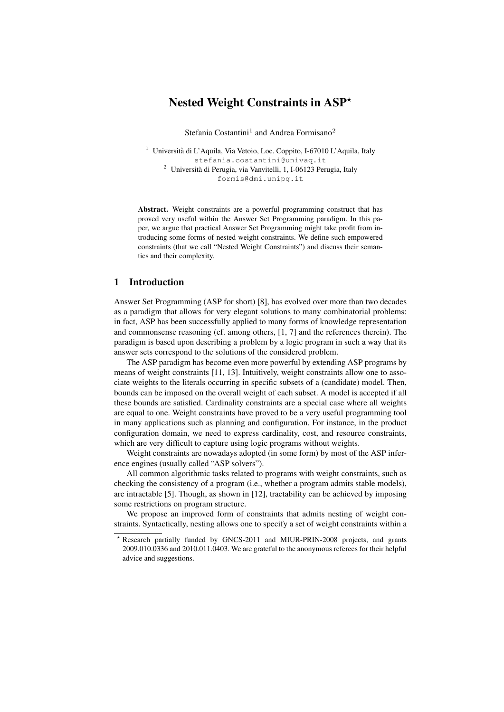# Nested Weight Constraints in ASP\*

Stefania Costantini<sup>1</sup> and Andrea Formisano<sup>2</sup>

<sup>1</sup> Università di L'Aquila, Via Vetoio, Loc. Coppito, I-67010 L'Aquila, Italy stefania.costantini@univaq.it  $^2$  Università di Perugia, via Vanvitelli, 1, I-06123 Perugia, Italy formis@dmi.unipg.it

Abstract. Weight constraints are a powerful programming construct that has proved very useful within the Answer Set Programming paradigm. In this paper, we argue that practical Answer Set Programming might take profit from introducing some forms of nested weight constraints. We define such empowered constraints (that we call "Nested Weight Constraints") and discuss their semantics and their complexity.

# 1 Introduction

Answer Set Programming (ASP for short) [8], has evolved over more than two decades as a paradigm that allows for very elegant solutions to many combinatorial problems: in fact, ASP has been successfully applied to many forms of knowledge representation and commonsense reasoning (cf. among others, [1, 7] and the references therein). The paradigm is based upon describing a problem by a logic program in such a way that its answer sets correspond to the solutions of the considered problem.

The ASP paradigm has become even more powerful by extending ASP programs by means of weight constraints [11, 13]. Intuitively, weight constraints allow one to associate weights to the literals occurring in specific subsets of a (candidate) model. Then, bounds can be imposed on the overall weight of each subset. A model is accepted if all these bounds are satisfied. Cardinality constraints are a special case where all weights are equal to one. Weight constraints have proved to be a very useful programming tool in many applications such as planning and configuration. For instance, in the product configuration domain, we need to express cardinality, cost, and resource constraints, which are very difficult to capture using logic programs without weights.

Weight constraints are nowadays adopted (in some form) by most of the ASP inference engines (usually called "ASP solvers").

All common algorithmic tasks related to programs with weight constraints, such as checking the consistency of a program (i.e., whether a program admits stable models), are intractable [5]. Though, as shown in [12], tractability can be achieved by imposing some restrictions on program structure.

We propose an improved form of constraints that admits nesting of weight constraints. Syntactically, nesting allows one to specify a set of weight constraints within a

<sup>?</sup> Research partially funded by GNCS-2011 and MIUR-PRIN-2008 projects, and grants 2009.010.0336 and 2010.011.0403. We are grateful to the anonymous referees for their helpful advice and suggestions.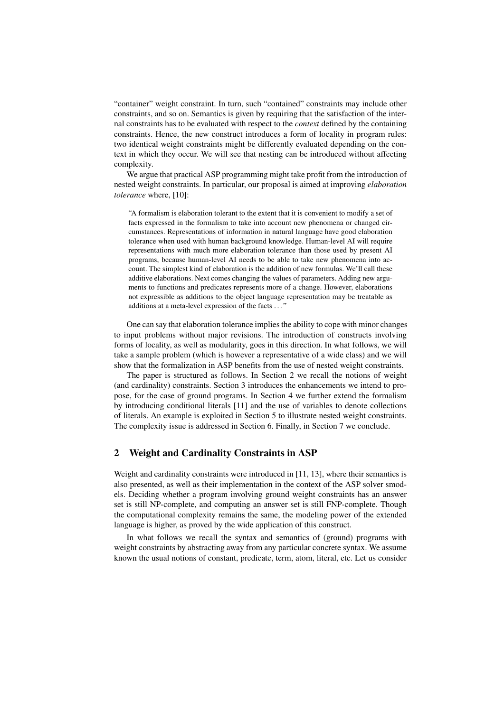"container" weight constraint. In turn, such "contained" constraints may include other constraints, and so on. Semantics is given by requiring that the satisfaction of the internal constraints has to be evaluated with respect to the *context* defined by the containing constraints. Hence, the new construct introduces a form of locality in program rules: two identical weight constraints might be differently evaluated depending on the context in which they occur. We will see that nesting can be introduced without affecting complexity.

We argue that practical ASP programming might take profit from the introduction of nested weight constraints. In particular, our proposal is aimed at improving *elaboration tolerance* where, [10]:

"A formalism is elaboration tolerant to the extent that it is convenient to modify a set of facts expressed in the formalism to take into account new phenomena or changed circumstances. Representations of information in natural language have good elaboration tolerance when used with human background knowledge. Human-level AI will require representations with much more elaboration tolerance than those used by present AI programs, because human-level AI needs to be able to take new phenomena into account. The simplest kind of elaboration is the addition of new formulas. We'll call these additive elaborations. Next comes changing the values of parameters. Adding new arguments to functions and predicates represents more of a change. However, elaborations not expressible as additions to the object language representation may be treatable as additions at a meta-level expression of the facts . . . "

One can say that elaboration tolerance implies the ability to cope with minor changes to input problems without major revisions. The introduction of constructs involving forms of locality, as well as modularity, goes in this direction. In what follows, we will take a sample problem (which is however a representative of a wide class) and we will show that the formalization in ASP benefits from the use of nested weight constraints.

The paper is structured as follows. In Section 2 we recall the notions of weight (and cardinality) constraints. Section 3 introduces the enhancements we intend to propose, for the case of ground programs. In Section 4 we further extend the formalism by introducing conditional literals [11] and the use of variables to denote collections of literals. An example is exploited in Section 5 to illustrate nested weight constraints. The complexity issue is addressed in Section 6. Finally, in Section 7 we conclude.

### 2 Weight and Cardinality Constraints in ASP

Weight and cardinality constraints were introduced in [11, 13], where their semantics is also presented, as well as their implementation in the context of the ASP solver smodels. Deciding whether a program involving ground weight constraints has an answer set is still NP-complete, and computing an answer set is still FNP-complete. Though the computational complexity remains the same, the modeling power of the extended language is higher, as proved by the wide application of this construct.

In what follows we recall the syntax and semantics of (ground) programs with weight constraints by abstracting away from any particular concrete syntax. We assume known the usual notions of constant, predicate, term, atom, literal, etc. Let us consider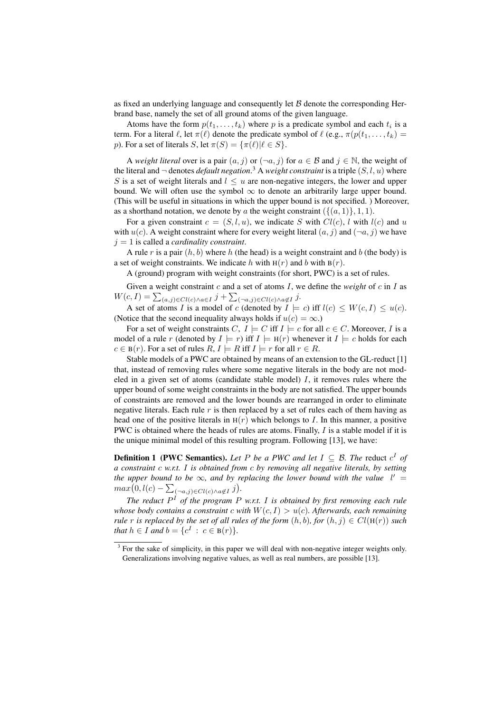as fixed an underlying language and consequently let  $\beta$  denote the corresponding Herbrand base, namely the set of all ground atoms of the given language.

Atoms have the form  $p(t_1, \ldots, t_k)$  where p is a predicate symbol and each  $t_i$  is a term. For a literal  $\ell$ , let  $\pi(\ell)$  denote the predicate symbol of  $\ell$  (e.g.,  $\pi(p(t_1, \ldots, t_k) =$ p). For a set of literals S, let  $\pi(S) = {\pi(\ell) | \ell \in S}.$ 

A *weight literal* over is a pair  $(a, j)$  or  $(\neg a, j)$  for  $a \in \mathcal{B}$  and  $j \in \mathbb{N}$ , the weight of the literal and  $\neg$  denotes *default negation*.<sup>3</sup> A *weight constraint* is a triple  $(S, l, u)$  where S is a set of weight literals and  $l \leq u$  are non-negative integers, the lower and upper bound. We will often use the symbol  $\infty$  to denote an arbitrarily large upper bound. (This will be useful in situations in which the upper bound is not specified.\) Moreover, as a shorthand notation, we denote by a the weight constraint  $({(a, 1)}, 1, 1)$ .

For a given constraint  $c = (S, l, u)$ , we indicate S with  $Cl(c)$ , l with  $l(c)$  and u with  $u(c)$ . A weight constraint where for every weight literal  $(a, j)$  and  $(\neg a, j)$  we have  $j = 1$  is called a *cardinality constraint*.

A rule r is a pair  $(h, b)$  where h (the head) is a weight constraint and b (the body) is a set of weight constraints. We indicate h with  $H(r)$  and b with  $B(r)$ .

A (ground) program with weight constraints (for short, PWC) is a set of rules.

Given a weight constraint  $c$  and a set of atoms  $I$ , we define the *weight* of  $c$  in  $I$  as  $W(c, I) = \sum_{(a,j) \in Cl(c) \wedge a \in I} j + \sum_{(\neg a,j) \in Cl(c) \wedge a \notin I} j.$ 

A set of atoms I is a model of c (denoted by  $I \models c$ ) iff  $l(c) \leq W(c, I) \leq u(c)$ . (Notice that the second inequality always holds if  $u(c) = \infty$ .)

For a set of weight constraints C,  $I \models C$  iff  $I \models c$  for all  $c \in C$ . Moreover, I is a model of a rule r (denoted by  $I \models r$ ) iff  $I \models H(r)$  whenever it  $I \models c$  holds for each  $c \in B(r)$ . For a set of rules  $R, I \models R$  iff  $I \models r$  for all  $r \in R$ .

Stable models of a PWC are obtained by means of an extension to the GL-reduct [1] that, instead of removing rules where some negative literals in the body are not modeled in a given set of atoms (candidate stable model)  $I$ , it removes rules where the upper bound of some weight constraints in the body are not satisfied. The upper bounds of constraints are removed and the lower bounds are rearranged in order to eliminate negative literals. Each rule  $r$  is then replaced by a set of rules each of them having as head one of the positive literals in  $H(r)$  which belongs to I. In this manner, a positive PWC is obtained where the heads of rules are atoms. Finally,  $I$  is a stable model if it is the unique minimal model of this resulting program. Following [13], we have:

**Definition 1** (PWC Semantics). Let P be a PWC and let  $I \subseteq \mathcal{B}$ . The reduct  $c^I$  of *a constraint* c *w.r.t.* I *is obtained from* c *by removing all negative literals, by setting the upper bound to be*  $\infty$ , and by replacing the lower bound with the value  $l' =$  $max(0, l(c) - \sum_{(\neg a, j) \in Cl(c) \land a \notin I} j).$ 

*The reduct* P <sup>I</sup> *of the program* P *w.r.t.* I *is obtained by first removing each rule whose body contains a constraint* c *with*  $W(c, I) > u(c)$ . Afterwards, each remaining *rule r is replaced by the set of all rules of the form*  $(h, b)$ *, for*  $(h, j) \in Cl(H(r))$  *such that*  $h \in I$  *and*  $b = \{c^I : c \in B(r)\}.$ 

 $3$  For the sake of simplicity, in this paper we will deal with non-negative integer weights only. Generalizations involving negative values, as well as real numbers, are possible [13].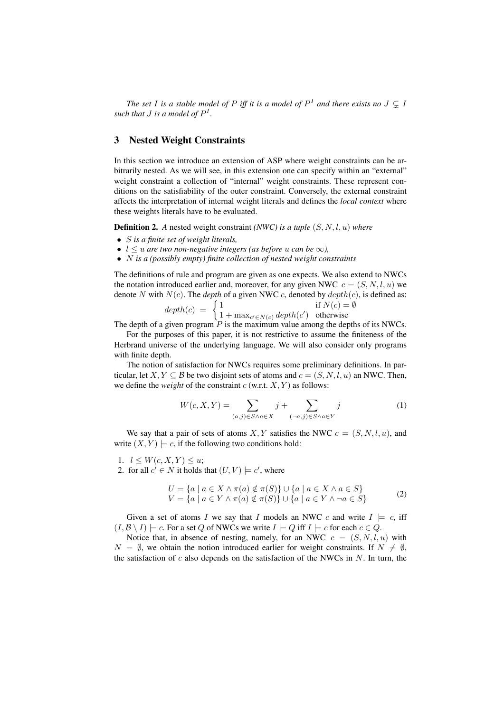*The set I is a stable model of P iff it is a model of*  $P<sup>I</sup>$  *and there exists no*  $J \subsetneq I$ such that  $J$  is a model of  $P^I$ .

## 3 Nested Weight Constraints

In this section we introduce an extension of ASP where weight constraints can be arbitrarily nested. As we will see, in this extension one can specify within an "external" weight constraint a collection of "internal" weight constraints. These represent conditions on the satisfiability of the outer constraint. Conversely, the external constraint affects the interpretation of internal weight literals and defines the *local context* where these weights literals have to be evaluated.

Definition 2. *A* nested weight constraint *(NWC) is a tuple* (S, N, l, u) *where*

- S *is a finite set of weight literals,*
- $l \leq u$  *are two non-negative integers (as before u can be*  $\infty$ ),
- N *is a (possibly empty) finite collection of nested weight constraints*

The definitions of rule and program are given as one expects. We also extend to NWCs the notation introduced earlier and, moreover, for any given NWC  $c = (S, N, l, u)$  we denote N with  $N(c)$ . The *depth* of a given NWC c, denoted by  $\text{depth}(c)$ , is defined as:

$$
depth(c) = \begin{cases} 1 & \text{if } N(c) = \emptyset \\ 1 + \max_{c' \in N(c)} depth(c') & \text{otherwise} \end{cases}
$$

The depth of a given program  $\tilde{P}$  is the maximum value among the depths of its NWCs.

For the purposes of this paper, it is not restrictive to assume the finiteness of the Herbrand universe of the underlying language. We will also consider only programs with finite depth.

The notion of satisfaction for NWCs requires some preliminary definitions. In particular, let  $X, Y \subseteq B$  be two disjoint sets of atoms and  $c = (S, N, l, u)$  an NWC. Then, we define the *weight* of the constraint  $c$  (w.r.t.  $X, Y$ ) as follows:

$$
W(c, X, Y) = \sum_{(a,j)\in S \wedge a \in X} j + \sum_{(\neg a,j)\in S \wedge a \in Y} j \tag{1}
$$

We say that a pair of sets of atoms X, Y satisfies the NWC  $c = (S, N, l, u)$ , and write  $(X, Y) \models c$ , if the following two conditions hold:

1.  $l \leq W(c, X, Y) \leq u$ ;

2. for all  $c' \in N$  it holds that  $(U, V) \models c'$ , where

$$
U = \{a \mid a \in X \land \pi(a) \notin \pi(S)\} \cup \{a \mid a \in X \land a \in S\}
$$
  

$$
V = \{a \mid a \in Y \land \pi(a) \notin \pi(S)\} \cup \{a \mid a \in Y \land \neg a \in S\}
$$
 (2)

Given a set of atoms I we say that I models an NWC c and write  $I \models c$ , iff  $(I, \mathcal{B} \setminus I) \models c$ . For a set Q of NWCs we write  $I \models Q$  iff  $I \models c$  for each  $c \in Q$ .

Notice that, in absence of nesting, namely, for an NWC  $c = (S, N, l, u)$  with  $N = \emptyset$ , we obtain the notion introduced earlier for weight constraints. If  $N \neq \emptyset$ , the satisfaction of  $c$  also depends on the satisfaction of the NWCs in  $N$ . In turn, the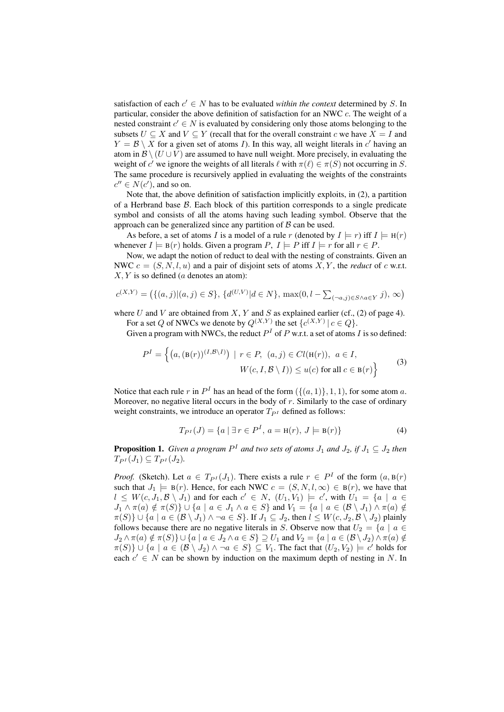satisfaction of each  $c' \in N$  has to be evaluated *within the context* determined by S. In particular, consider the above definition of satisfaction for an NWC  $c$ . The weight of a nested constraint  $c' \in N$  is evaluated by considering only those atoms belonging to the subsets  $U \subseteq X$  and  $V \subseteq Y$  (recall that for the overall constraint c we have  $X = I$  and  $Y = \mathcal{B} \setminus X$  for a given set of atoms *I*). In this way, all weight literals in c'having an atom in  $\mathcal{B} \setminus (U \cup V)$  are assumed to have null weight. More precisely, in evaluating the weight of c' we ignore the weights of all literals  $\ell$  with  $\pi(\ell) \in \pi(S)$  not occurring in S. The same procedure is recursively applied in evaluating the weights of the constraints  $c'' \in N(c')$ , and so on.

Note that, the above definition of satisfaction implicitly exploits, in (2), a partition of a Herbrand base  $\beta$ . Each block of this partition corresponds to a single predicate symbol and consists of all the atoms having such leading symbol. Observe that the approach can be generalized since any partition of  $\beta$  can be used.

As before, a set of atoms I is a model of a rule r (denoted by  $I \models r$ ) iff  $I \models H(r)$ whenever  $I \models B(r)$  holds. Given a program  $P, I \models P$  iff  $I \models r$  for all  $r \in P$ .

Now, we adapt the notion of reduct to deal with the nesting of constraints. Given an NWC  $c = (S, N, l, u)$  and a pair of disjoint sets of atoms X, Y, the *reduct* of c w.r.t.  $X, Y$  is so defined (*a* denotes an atom):

$$
c^{(X,Y)} = (\{(a,j)|(a,j) \in S\}, \{d^{(U,V)}|d \in N\}, \max(0, l - \sum_{(\neg a,j) \in S \land a \in Y} j), \infty)
$$

where U and V are obtained from X, Y and S as explained earlier (cf., (2) of page 4). For a set Q of NWCs we denote by  $Q^{(X,Y)}$  the set  $\{c^{(X,Y)} | c \in Q\}$ .

Given a program with NWCs, the reduct  $P<sup>I</sup>$  of P w.r.t. a set of atoms I is so defined:

$$
P^{I} = \left\{ (a, (\mathbf{B}(r))^{(I, \mathcal{B} \setminus I)}) \mid r \in P, (a, j) \in Cl(\mathbf{H}(r)), a \in I, \newline W(c, I, \mathcal{B} \setminus I)) \le u(c) \text{ for all } c \in \mathbf{B}(r) \right\}
$$
(3)

Notice that each rule r in  $P<sup>I</sup>$  has an head of the form  $({(a, 1)}, {1, 1})$ , for some atom a. Moreover, no negative literal occurs in the body of  $r$ . Similarly to the case of ordinary weight constraints, we introduce an operator  $T_{PI}$  defined as follows:

$$
T_{P^I}(J) = \{a \mid \exists r \in P^I, a = \mathbf{H}(r), J \models \mathbf{B}(r)\}\tag{4}
$$

**Proposition 1.** Given a program  $P^I$  and two sets of atoms  $J_1$  and  $J_2$ , if  $J_1 \subseteq J_2$  then  $T_{PI}(J_1) \subseteq T_{PI}(J_2)$ .

*Proof.* (Sketch). Let  $a \in T_{P^I}(J_1)$ . There exists a rule  $r \in P^I$  of the form  $(a, B(r))$ such that  $J_1 \models B(r)$ . Hence, for each NWC  $c = (S, N, l, \infty) \in B(r)$ , we have that  $l \leq W(c, J_1, \mathcal{B} \setminus J_1)$  and for each  $c' \in N$ ,  $(U_1, V_1) \models c'$ , with  $U_1 = \{a \mid a \in$  $J_1 \wedge \pi(a) \notin \pi(S) \} \cup \{a \mid a \in J_1 \wedge a \in S\}$  and  $V_1 = \{a \mid a \in (\mathcal{B} \setminus J_1) \wedge \pi(a) \notin \pi(S) \}$  $\pi(S)$   $\cup$  {a | a  $\in$  ( $\mathcal{B} \setminus J_1$ )  $\wedge \neg a \in S$ }. If  $J_1 \subseteq J_2$ , then  $l \leq W(c, J_2, \mathcal{B} \setminus J_2)$  plainly follows because there are no negative literals in S. Observe now that  $U_2 = \{a \mid a \in$  $J_2 \wedge \pi(a) \notin \pi(S) \} \cup \{a \mid a \in J_2 \wedge a \in S\} \supseteq U_1$  and  $V_2 = \{a \mid a \in (\mathcal{B} \setminus J_2) \wedge \pi(a) \notin \mathcal{C}\}$  $\pi(S)$ }  $\cup$   $\{a \mid a \in (\mathcal{B} \setminus J_2) \land \neg a \in S\} \subseteq V_1$ . The fact that  $(U_2, V_2) \models c'$  holds for each  $c' \in N$  can be shown by induction on the maximum depth of nesting in N. In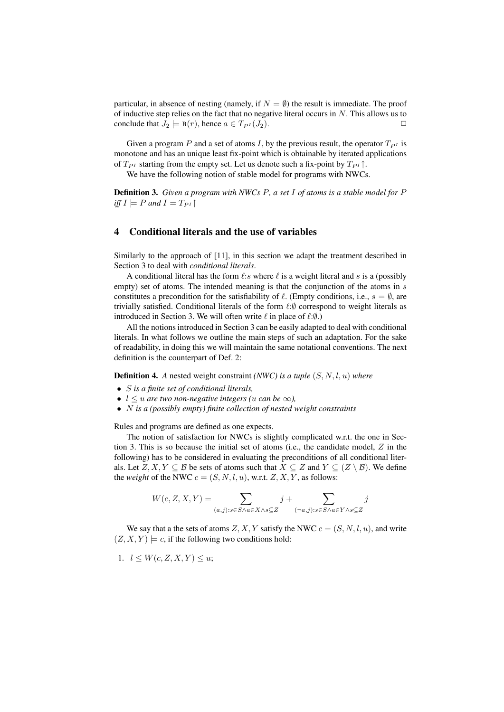particular, in absence of nesting (namely, if  $N = \emptyset$ ) the result is immediate. The proof of inductive step relies on the fact that no negative literal occurs in  $N$ . This allows us to conclude that  $J_2 \models B(r)$ , hence  $a \in T_{P^I}(J_2)$ .

Given a program P and a set of atoms I, by the previous result, the operator  $T_{PI}$  is monotone and has an unique least fix-point which is obtainable by iterated applications of  $T_{PI}$  starting from the empty set. Let us denote such a fix-point by  $T_{PI} \uparrow$ .

We have the following notion of stable model for programs with NWCs.

Definition 3. *Given a program with NWCs* P*, a set* I *of atoms is a stable model for* P *iff*  $I \models P$  *and*  $I = T_{PI} \uparrow$ 

### 4 Conditional literals and the use of variables

Similarly to the approach of [11], in this section we adapt the treatment described in Section 3 to deal with *conditional literals*.

A conditional literal has the form  $\ell$ :s where  $\ell$  is a weight literal and s is a (possibly empty) set of atoms. The intended meaning is that the conjunction of the atoms in s constitutes a precondition for the satisfiability of  $\ell$ . (Empty conditions, i.e.,  $s = \emptyset$ , are trivially satisfied. Conditional literals of the form  $\ell:\emptyset$  correspond to weight literals as introduced in Section 3. We will often write  $\ell$  in place of  $\ell:\emptyset$ .)

All the notions introduced in Section 3 can be easily adapted to deal with conditional literals. In what follows we outline the main steps of such an adaptation. For the sake of readability, in doing this we will maintain the same notational conventions. The next definition is the counterpart of Def. 2:

Definition 4. *A* nested weight constraint *(NWC) is a tuple* (S, N, l, u) *where*

- S *is a finite set of conditional literals,*
- $l \leq u$  are two non-negative integers (*u* can be  $\infty$ ),
- N *is a (possibly empty) finite collection of nested weight constraints*

Rules and programs are defined as one expects.

The notion of satisfaction for NWCs is slightly complicated w.r.t. the one in Section 3. This is so because the initial set of atoms (i.e., the candidate model,  $Z$  in the following) has to be considered in evaluating the preconditions of all conditional literals. Let  $Z, X, Y \subseteq B$  be sets of atoms such that  $X \subseteq Z$  and  $Y \subseteq (Z \setminus B)$ . We define the *weight* of the NWC  $c = (S, N, l, u)$ , w.r.t.  $Z, X, Y$ , as follows:

$$
W(c, Z, X, Y) = \sum_{(a,j): s \in S \land a \in X \land s \subseteq Z} j + \sum_{(\neg a,j): s \in S \land a \in Y \land s \subseteq Z} j
$$

We say that a the sets of atoms  $Z, X, Y$  satisfy the NWC  $c = (S, N, l, u)$ , and write  $(Z, X, Y) \models c$ , if the following two conditions hold:

1.  $l \leq W(c, Z, X, Y) \leq u;$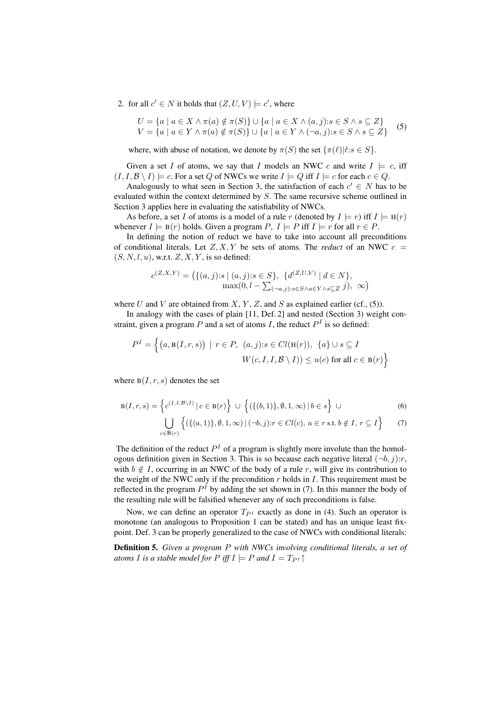2. for all  $c' \in N$  it holds that  $(Z, U, V) \models c'$ , where

$$
U = \{a \mid a \in X \land \pi(a) \notin \pi(S)\} \cup \{a \mid a \in X \land (a, j): s \in S \land s \subseteq Z\}
$$
  

$$
V = \{a \mid a \in Y \land \pi(a) \notin \pi(S)\} \cup \{a \mid a \in Y \land (\neg a, j): s \in S \land s \subseteq Z\}
$$
(5)

where, with abuse of notation, we denote by  $\pi(S)$  the set  $\{\pi(\ell)|\ell: s \in S\}$ .

Given a set I of atoms, we say that I models an NWC c and write  $I \models c$ , iff  $(I, I, \mathcal{B} \setminus I) \models c$ . For a set Q of NWCs we write  $I \models Q$  iff  $I \models c$  for each  $c \in Q$ .

Analogously to what seen in Section 3, the satisfaction of each  $c' \in N$  has to be evaluated within the context determined by S. The same recursive scheme outlined in Section 3 applies here in evaluating the satisfiability of NWCs.

As before, a set I of atoms is a model of a rule r (denoted by  $I \models r$ ) iff  $I \models H(r)$ whenever  $I \models B(r)$  holds. Given a program  $P, I \models P$  iff  $I \models r$  for all  $r \in P$ .

In defining the notion of reduct we have to take into account all preconditions of conditional literals. Let  $Z, X, Y$  be sets of atoms. The *reduct* of an NWC  $c =$  $(S, N, l, u)$ , w.r.t.  $Z, X, Y$ , is so defined:

$$
c^{(Z,X,Y)} = (\{(a,j) : s \mid (a,j) : s \in S\}, \{d^{(Z,U,V)} \mid d \in N\},\
$$

$$
\max(0, l - \sum_{(\neg a,j) : s \in S \land a \in Y \land s \subseteq Z} j), \infty)
$$

where U and V are obtained from  $X, Y, Z$ , and S as explained earlier (cf., (5)).

In analogy with the cases of plain [11, Def. 2] and nested (Section 3) weight constraint, given a program P and a set of atoms I, the reduct  $P<sup>I</sup>$  is so defined:

$$
P^{I} = \left\{ (a, \mathbf{B}(I, r, s)) \mid r \in P, (a, j): s \in Cl(\mathbf{H}(r)), \{a\} \cup s \subseteq I
$$

$$
W(c, I, I, \mathcal{B} \setminus I)) \le u(c) \text{ for all } c \in \mathbf{B}(r) \right\}
$$

where  $B(I, r, s)$  denotes the set

$$
B(I,r,s) = \left\{ c^{(I,I,B\backslash I)} \mid c \in B(r) \right\} \cup \left\{ (\{(b,1)\}, \emptyset, 1, \infty) \mid b \in s \right\} \cup \left\{ (\{(a,1)\}, \emptyset, 1, \infty) \mid (-b,j): r \in Cl(c), a \in r \text{ s.t. } b \notin I, r \subseteq I \right\} \tag{7}
$$

The definition of the reduct  $P<sup>I</sup>$  of a program is slightly more involute than the homologous definition given in Section 3. This is so because each negative literal  $(\neg b, j)$ : r, with  $b \notin I$ , occurring in an NWC of the body of a rule r, will give its contribution to the weight of the NWC only if the precondition  $r$  holds in  $I$ . This requirement must be reflected in the program  $P<sup>I</sup>$  by adding the set shown in (7). In this manner the body of the resulting rule will be falsified whenever any of such preconditions is false.

Now, we can define an operator  $T_{PI}$  exactly as done in (4). Such an operator is monotone (an analogous to Proposition 1 can be stated) and has an unique least fixpoint. Def. 3 can be properly generalized to the case of NWCs with conditional literals:

Definition 5. *Given a program* P *with NWCs involving conditional literals, a set of atoms I is a stable model for*  $P$  *iff*  $I \models P$  *and*  $I = T_{P}I$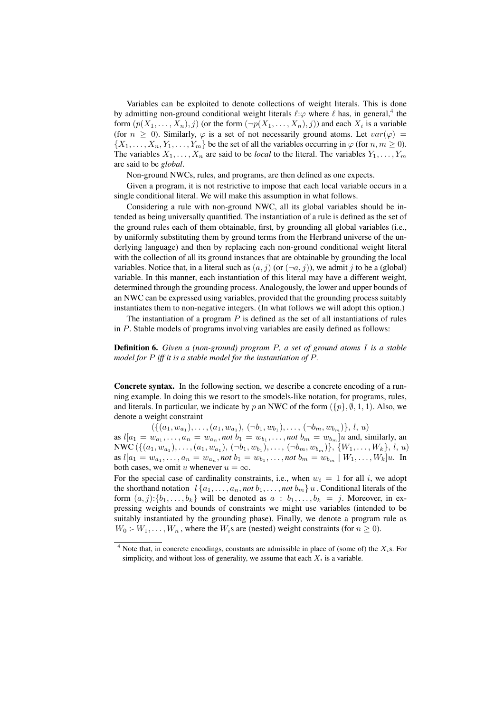Variables can be exploited to denote collections of weight literals. This is done by admitting non-ground conditional weight literals  $\ell:\varphi$  where  $\ell$  has, in general,<sup>4</sup> the form  $(p(X_1, \ldots, X_n), j)$  (or the form  $(\neg p(X_1, \ldots, X_n), j)$ ) and each  $X_i$  is a variable (for  $n \geq 0$ ). Similarly,  $\varphi$  is a set of not necessarily ground atoms. Let  $var(\varphi)$  =  $\{X_1, \ldots, X_n, Y_1, \ldots, Y_m\}$  be the set of all the variables occurring in  $\varphi$  (for  $n, m \ge 0$ ). The variables  $X_1, \ldots, X_n$  are said to be *local* to the literal. The variables  $Y_1, \ldots, Y_m$ are said to be *global*.

Non-ground NWCs, rules, and programs, are then defined as one expects.

Given a program, it is not restrictive to impose that each local variable occurs in a single conditional literal. We will make this assumption in what follows.

Considering a rule with non-ground NWC, all its global variables should be intended as being universally quantified. The instantiation of a rule is defined as the set of the ground rules each of them obtainable, first, by grounding all global variables (i.e., by uniformly substituting them by ground terms from the Herbrand universe of the underlying language) and then by replacing each non-ground conditional weight literal with the collection of all its ground instances that are obtainable by grounding the local variables. Notice that, in a literal such as  $(a, j)$  (or  $(\neg a, j)$ ), we admit j to be a (global) variable. In this manner, each instantiation of this literal may have a different weight, determined through the grounding process. Analogously, the lower and upper bounds of an NWC can be expressed using variables, provided that the grounding process suitably instantiates them to non-negative integers. (In what follows we will adopt this option.)

The instantiation of a program  $P$  is defined as the set of all instantiations of rules in P. Stable models of programs involving variables are easily defined as follows:

Definition 6. *Given a (non-ground) program* P*, a set of ground atoms* I *is a stable model for* P *iff it is a stable model for the instantiation of* P*.*

Concrete syntax. In the following section, we describe a concrete encoding of a running example. In doing this we resort to the smodels-like notation, for programs, rules, and literals. In particular, we indicate by p an NWC of the form  $({p}, \emptyset, 1, 1)$ . Also, we denote a weight constraint

 $(\{(a_1, w_{a_1}), \ldots, (a_1, w_{a_1}), (\neg b_1, w_{b_1}), \ldots, (\neg b_m, w_{b_m})\}, l, u)$ as  $l[a_1 = w_{a_1}, \ldots, a_n = w_{a_n},$  *not*  $b_1 = w_{b_1}, \ldots,$  *not*  $b_m = w_{b_m}]u$  and, similarly, an NWC  $(\{(a_1, w_{a_1}), \ldots, (a_1, w_{a_1}), (\neg b_1, w_{b_1}), \ldots, (\neg b_m, w_{b_m})\}, \{W_1, \ldots, W_k\}, l, u)$ as  $l[a_1 = w_{a_1}, \ldots, a_n = w_{a_n},$  not  $b_1 = w_{b_1}, \ldots,$  not  $b_m = w_{b_m} \mid W_1, \ldots, W_k]$ u. In both cases, we omit u whenever  $u = \infty$ .

For the special case of cardinality constraints, i.e., when  $w_i = 1$  for all i, we adopt the shorthand notation  $l \{a_1, \ldots, a_n, not \ b_1, \ldots, not \ b_m\} u$ . Conditional literals of the form  $(a, j): \{b_1, \ldots, b_k\}$  will be denoted as  $a : b_1, \ldots, b_k = j$ . Moreover, in expressing weights and bounds of constraints we might use variables (intended to be suitably instantiated by the grounding phase). Finally, we denote a program rule as  $W_0$ :  $-W_1, \ldots, W_n$ , where the  $W_i$ s are (nested) weight constraints (for  $n \geq 0$ ).

<sup>&</sup>lt;sup>4</sup> Note that, in concrete encodings, constants are admissible in place of (some of) the  $X_i$ s. For simplicity, and without loss of generality, we assume that each  $X_i$  is a variable.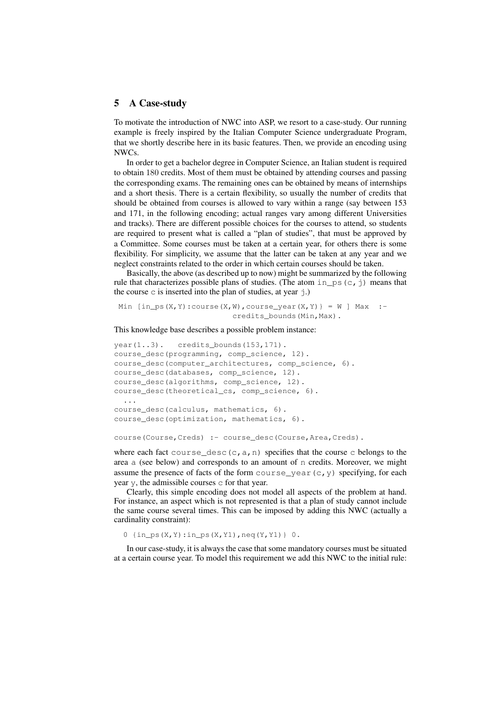### 5 A Case-study

To motivate the introduction of NWC into ASP, we resort to a case-study. Our running example is freely inspired by the Italian Computer Science undergraduate Program, that we shortly describe here in its basic features. Then, we provide an encoding using NWCs.

In order to get a bachelor degree in Computer Science, an Italian student is required to obtain 180 credits. Most of them must be obtained by attending courses and passing the corresponding exams. The remaining ones can be obtained by means of internships and a short thesis. There is a certain flexibility, so usually the number of credits that should be obtained from courses is allowed to vary within a range (say between 153 and 171, in the following encoding; actual ranges vary among different Universities and tracks). There are different possible choices for the courses to attend, so students are required to present what is called a "plan of studies", that must be approved by a Committee. Some courses must be taken at a certain year, for others there is some flexibility. For simplicity, we assume that the latter can be taken at any year and we neglect constraints related to the order in which certain courses should be taken.

Basically, the above (as described up to now) might be summarized by the following rule that characterizes possible plans of studies. (The atom in  $\neg$  ps (c, j) means that the course c is inserted into the plan of studies, at year  $\dot{\uparrow}$ .)

Min  $[in_ps(X,Y):course(X,W), course\_year(X,Y)] = W$  Max :credits bounds(Min, Max).

#### This knowledge base describes a possible problem instance:

```
\text{year}(1..3). credits bounds(153,171).
course_desc(programming, comp_science, 12).
course_desc(computer_architectures, comp_science, 6).
course_desc(databases, comp_science, 12).
course_desc(algorithms, comp_science, 12).
course_desc(theoretical_cs, comp_science, 6).
  ...
course_desc(calculus, mathematics, 6).
course_desc(optimization, mathematics, 6).
```
#### course(Course,Creds) :- course\_desc(Course,Area,Creds).

where each fact course desc  $(c, a, n)$  specifies that the course c belongs to the area a (see below) and corresponds to an amount of n credits. Moreover, we might assume the presence of facts of the form course\_year(c,y) specifying, for each year y, the admissible courses c for that year.

Clearly, this simple encoding does not model all aspects of the problem at hand. For instance, an aspect which is not represented is that a plan of study cannot include the same course several times. This can be imposed by adding this NWC (actually a cardinality constraint):

0  $\{in\_ps(X, Y): in\_ps(X, Y1), neq(Y, Y1)\}\ 0.$ 

In our case-study, it is always the case that some mandatory courses must be situated at a certain course year. To model this requirement we add this NWC to the initial rule: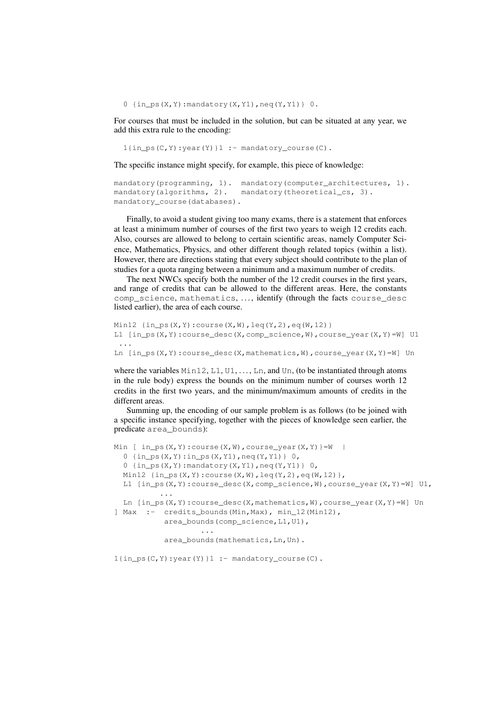0  $\{in\_ps(X, Y):$ mandatory $(X, Y1)$ , neq $(Y, Y1)$  0.

For courses that must be included in the solution, but can be situated at any year, we add this extra rule to the encoding:

 $1$ {in\_ps(C,Y):year(Y)}1 :- mandatory\_course(C).

The specific instance might specify, for example, this piece of knowledge:

```
mandatory(programming, 1). mandatory(computer architectures, 1).
mandatory(algorithms, 2). mandatory(theoretical cs, 3).
mandatory course(databases).
```
Finally, to avoid a student giving too many exams, there is a statement that enforces at least a minimum number of courses of the first two years to weigh 12 credits each. Also, courses are allowed to belong to certain scientific areas, namely Computer Science, Mathematics, Physics, and other different though related topics (within a list). However, there are directions stating that every subject should contribute to the plan of studies for a quota ranging between a minimum and a maximum number of credits.

The next NWCs specify both the number of the 12 credit courses in the first years, and range of credits that can be allowed to the different areas. Here, the constants comp\_science, mathematics, . . . , identify (through the facts course\_desc listed earlier), the area of each course.

```
Min12 \{in\_ps(X, Y): course(X, W), leq(Y, 2), eq(W, 12)\}L1 [in_ps(X,Y):course\_desc(X,comp\_science,W), course\_year(X,Y)=W] U1
 ...
Ln \lceil in_ps(X,Y):course_desc(X,mathematics,W), course_year(X,Y)=W] Un
```
where the variables  $Min12, L1, U1, \ldots, Ln,$  and  $Un,$  (to be instantiated through atoms in the rule body) express the bounds on the minimum number of courses worth 12 credits in the first two years, and the minimum/maximum amounts of credits in the different areas.

Summing up, the encoding of our sample problem is as follows (to be joined with a specific instance specifying, together with the pieces of knowledge seen earlier, the predicate area\_bounds):

```
Min [ in_ps(X, Y): course(X, W), course_year(X, Y) }=W |
  0 \{in\_ps(X, Y): in\_ps(X, Y1), neg(Y, Y1)\}\ 0,
  0 \{in\_ps(X, Y):mandatory(X, Y1), neq(Y, Y1) 0,
  Min12 {in_ps(X,Y):course(X,W), leq(Y,2), eq(W,12)},L1 \left[ \text{in} \text{ps}(X, Y) : \text{course\_desc}(X, \text{comp\_science}, W) \right], course_year(X, Y) = W] U1,
            ...
  Ln [in_ps(X,Y):course\_desc(X,mathematics,W), course\_year(X,Y)=W] Un
] Max :- credits_bounds(Min,Max), min_12(Min12),
             area_bounds(comp_science,L1,U1),
                      ...
```
area\_bounds(mathematics, Ln, Un).

 $1$ {in\_ps(C,Y):year(Y)}1 :- mandatory\_course(C).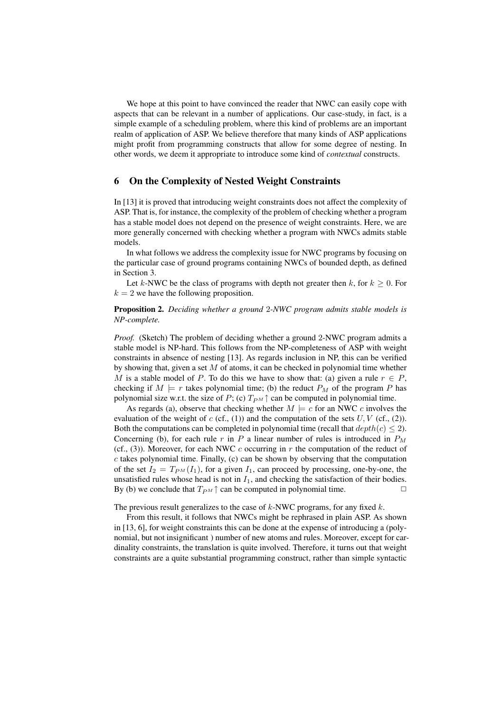We hope at this point to have convinced the reader that NWC can easily cope with aspects that can be relevant in a number of applications. Our case-study, in fact, is a simple example of a scheduling problem, where this kind of problems are an important realm of application of ASP. We believe therefore that many kinds of ASP applications might profit from programming constructs that allow for some degree of nesting. In other words, we deem it appropriate to introduce some kind of *contextual* constructs.

# 6 On the Complexity of Nested Weight Constraints

In [13] it is proved that introducing weight constraints does not affect the complexity of ASP. That is, for instance, the complexity of the problem of checking whether a program has a stable model does not depend on the presence of weight constraints. Here, we are more generally concerned with checking whether a program with NWCs admits stable models.

In what follows we address the complexity issue for NWC programs by focusing on the particular case of ground programs containing NWCs of bounded depth, as defined in Section 3.

Let k-NWC be the class of programs with depth not greater then k, for  $k \geq 0$ . For  $k = 2$  we have the following proposition.

Proposition 2. *Deciding whether a ground* 2*-NWC program admits stable models is NP-complete.*

*Proof.* (Sketch) The problem of deciding whether a ground 2-NWC program admits a stable model is NP-hard. This follows from the NP-completeness of ASP with weight constraints in absence of nesting [13]. As regards inclusion in NP, this can be verified by showing that, given a set  $M$  of atoms, it can be checked in polynomial time whether M is a stable model of P. To do this we have to show that: (a) given a rule  $r \in P$ , checking if  $M \models r$  takes polynomial time; (b) the reduct  $P_M$  of the program P has polynomial size w.r.t. the size of P; (c)  $T_{PM}$   $\uparrow$  can be computed in polynomial time.

As regards (a), observe that checking whether  $M \models c$  for an NWC c involves the evaluation of the weight of  $c$  (cf., (1)) and the computation of the sets  $U, V$  (cf., (2)). Both the computations can be completed in polynomial time (recall that  $depth(c) \leq 2$ ). Concerning (b), for each rule r in P a linear number of rules is introduced in  $P_M$ (cf., (3)). Moreover, for each NWC c occurring in r the computation of the reduct of  $c$  takes polynomial time. Finally,  $(c)$  can be shown by observing that the computation of the set  $I_2 = T_{PM}(I_1)$ , for a given  $I_1$ , can proceed by processing, one-by-one, the unsatisfied rules whose head is not in  $I_1$ , and checking the satisfaction of their bodies. By (b) we conclude that  $T_{PM} \uparrow$  can be computed in polynomial time.

The previous result generalizes to the case of  $k$ -NWC programs, for any fixed  $k$ .

From this result, it follows that NWCs might be rephrased in plain ASP. As shown in [13, 6], for weight constraints this can be done at the expense of introducing a (polynomial, but not insignificant\) number of new atoms and rules. Moreover, except for cardinality constraints, the translation is quite involved. Therefore, it turns out that weight constraints are a quite substantial programming construct, rather than simple syntactic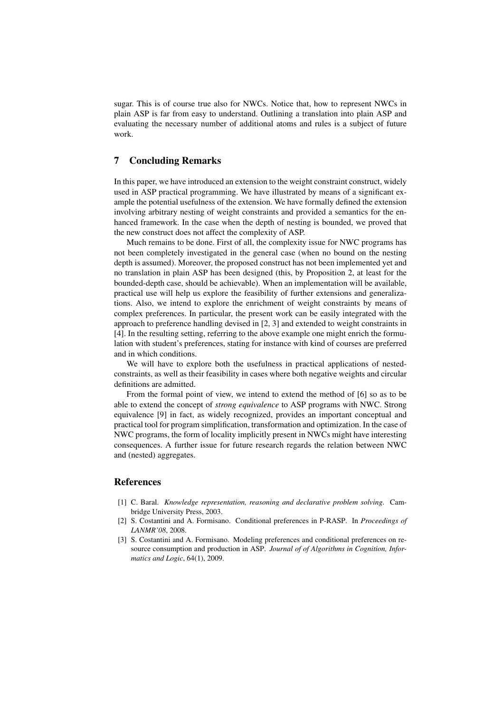sugar. This is of course true also for NWCs. Notice that, how to represent NWCs in plain ASP is far from easy to understand. Outlining a translation into plain ASP and evaluating the necessary number of additional atoms and rules is a subject of future work.

### 7 Concluding Remarks

In this paper, we have introduced an extension to the weight constraint construct, widely used in ASP practical programming. We have illustrated by means of a significant example the potential usefulness of the extension. We have formally defined the extension involving arbitrary nesting of weight constraints and provided a semantics for the enhanced framework. In the case when the depth of nesting is bounded, we proved that the new construct does not affect the complexity of ASP.

Much remains to be done. First of all, the complexity issue for NWC programs has not been completely investigated in the general case (when no bound on the nesting depth is assumed). Moreover, the proposed construct has not been implemented yet and no translation in plain ASP has been designed (this, by Proposition 2, at least for the bounded-depth case, should be achievable). When an implementation will be available, practical use will help us explore the feasibility of further extensions and generalizations. Also, we intend to explore the enrichment of weight constraints by means of complex preferences. In particular, the present work can be easily integrated with the approach to preference handling devised in [2, 3] and extended to weight constraints in [4]. In the resulting setting, referring to the above example one might enrich the formulation with student's preferences, stating for instance with kind of courses are preferred and in which conditions.

We will have to explore both the usefulness in practical applications of nestedconstraints, as well as their feasibility in cases where both negative weights and circular definitions are admitted.

From the formal point of view, we intend to extend the method of [6] so as to be able to extend the concept of *strong equivalence* to ASP programs with NWC. Strong equivalence [9] in fact, as widely recognized, provides an important conceptual and practical tool for program simplification, transformation and optimization. In the case of NWC programs, the form of locality implicitly present in NWCs might have interesting consequences. A further issue for future research regards the relation between NWC and (nested) aggregates.

## References

- [1] C. Baral. *Knowledge representation, reasoning and declarative problem solving*. Cambridge University Press, 2003.
- [2] S. Costantini and A. Formisano. Conditional preferences in P-RASP. In *Proceedings of LANMR'08*, 2008.
- [3] S. Costantini and A. Formisano. Modeling preferences and conditional preferences on resource consumption and production in ASP. *Journal of of Algorithms in Cognition, Informatics and Logic*, 64(1), 2009.